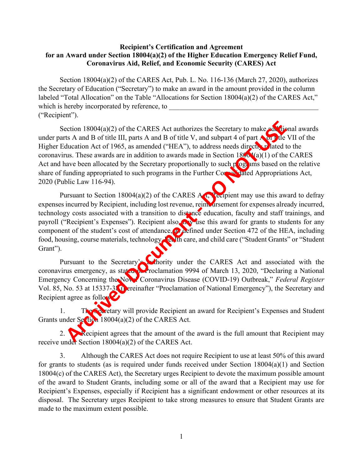## **for an Award under Section 18004(a)(2) of the Higher Education Emergency Relief Fund, Coronavirus Aid, Relief, and Economic Security (CARES) Act Recipient's Certification and Agreement**

Section 18004(a)(2) of the CARES Act, Pub. L. No. 116-136 (March 27, 2020), authorizes the Secretary of Education ("Secretary") to make an award in the amount provided in the column labeled "Total Allocation" on the Table "Allocations for Section 18004(a)(2) of the CARES Act," which is hereby incorporated by reference, to ("Recipient").

Section  $18004(a)(2)$  of the CARES Act authorizes the Secretary to make additional awards under parts A and B of title III, parts A and B of title V, and subpart 4 of part A or pitle VII of the Higher Education Act of 1965, as amended ("HEA"), to address needs directly related to the coronavirus. These awards are in addition to awards made in Section  $1800(4)(1)$  of the CARES Act and have been allocated by the Secretary proportionally to such plog ams based on the relative share of funding appropriated to such programs in the Further Consolidated Appropriations Act, 2020 (Public Law 116-94).

food, housing, course materials, technology, **the** list care, and child care ("Student Grants" or "Student" Pursuant to Section 18004(a)(2) of the CARES A<sub>nd</sub> Recipient may use this award to defray expenses incurred by Recipient, including lost revenue, reim arsement for expenses already incurred, technology costs associated with a transition to distance education, faculty and staff trainings, and payroll ("Recipient's Expenses"). Recipient also may use this award for grants to students for any component of the student's cost of attendance, as defined under Section 472 of the HEA, including Grant"). crition 18004(a)(2) of the CARES Act authorizes the Sceretary to make<br>
ts A and B of title III, parts A and B of title V, and subpart 4 of part Applie V<br>
ducation Act of 1965, as amended ("HEA"), to address needs direct<br>
v

Pursuant to the Secretary's authority under the CARES Act and associated with the coronavirus emergency, as stated in Proclamation 9994 of March 13, 2020, "Declaring a National Emergency Concerning the Now Coronavirus Disease (COVID-19) Outbreak," *Federal Register* Vol. 85, No. 53 at 15337-38 Opereinafter "Proclamation of National Emergency"), the Secretary and Recipient agree as follow

1. The Secretary will provide Recipient an award for Recipient's Expenses and Student Grants under Section 18004(a)(2) of the CARES Act.

2. Recipient agrees that the amount of the award is the full amount that Recipient may receive under Section 18004(a)(2) of the CARES Act.

 18004(c) of the CARES Act), the Secretary urges Recipient to devote the maximum possible amount Recipient's Expenses, especially if Recipient has a significant endowment or other resources at its 3. Although the CARES Act does not require Recipient to use at least 50% of this award for grants to students (as is required under funds received under Section 18004(a)(1) and Section of the award to Student Grants, including some or all of the award that a Recipient may use for disposal. The Secretary urges Recipient to take strong measures to ensure that Student Grants are made to the maximum extent possible.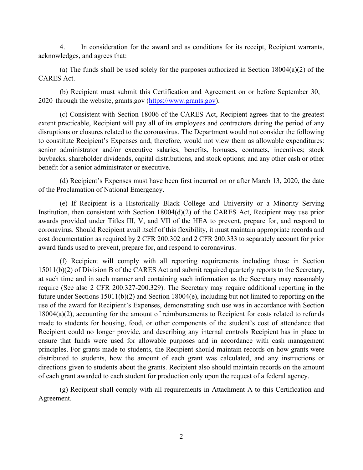acknowledges, and agrees that: 4. In consideration for the award and as conditions for its receipt, Recipient warrants,

(a) The funds shall be used solely for the purposes authorized in Section  $18004(a)(2)$  of the CARES Act.

(b) Recipient must submit this Certification and Agreement on or before September 30, 2020 through the website, [grants](https://grants.gov)[.gov \(https://www.grant](https://www.grants.gov/)s.gov).

 extent practicable, Recipient will pay all of its employees and contractors during the period of any (c) Consistent with Section 18006 of the CARES Act, Recipient agrees that to the greatest disruptions or closures related to the coronavirus. The Department would not consider the following to constitute Recipient's Expenses and, therefore, would not view them as allowable expenditures: senior administrator and/or executive salaries, benefits, bonuses, contracts, incentives; stock buybacks, shareholder dividends, capital distributions, and stock options; and any other cash or other benefit for a senior administrator or executive.

(d) Recipient's Expenses must have been first incurred on or after March 13, 2020, the date of the Proclamation of National Emergency.

 (e) If Recipient is a Historically Black College and University or a Minority Serving Institution, then consistent with Section 18004(d)(2) of the CARES Act, Recipient may use prior cost documentation as required by 2 CFR 200.302 and 2 CFR 200.333 to separately account for prior awards provided under Titles III, V, and VII of the HEA to prevent, prepare for, and respond to coronavirus. Should Recipient avail itself of this flexibility, it must maintain appropriate records and award funds used to prevent, prepare for, and respond to coronavirus.

 future under Sections 15011(b)(2) and Section 18004(e), including but not limited to reporting on the (f) Recipient will comply with all reporting requirements including those in Section 15011(b)(2) of Division B of the CARES Act and submit required quarterly reports to the Secretary, at such time and in such manner and containing such information as the Secretary may reasonably require (See also 2 CFR 200.327-200.329). The Secretary may require additional reporting in the use of the award for Recipient's Expenses, demonstrating such use was in accordance with Section 18004(a)(2), accounting for the amount of reimbursements to Recipient for costs related to refunds made to students for housing, food, or other components of the student's cost of attendance that Recipient could no longer provide, and describing any internal controls Recipient has in place to ensure that funds were used for allowable purposes and in accordance with cash management principles. For grants made to students, the Recipient should maintain records on how grants were distributed to students, how the amount of each grant was calculated, and any instructions or directions given to students about the grants. Recipient also should maintain records on the amount of each grant awarded to each student for production only upon the request of a federal agency.

(g) Recipient shall comply with all requirements in Attachment A to this Certification and Agreement.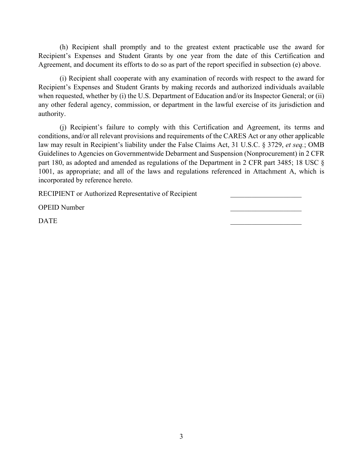(h) Recipient shall promptly and to the greatest extent practicable use the award for Recipient's Expenses and Student Grants by one year from the date of this Certification and Agreement, and document its efforts to do so as part of the report specified in subsection (e) above.

 when requested, whether by (i) the U.S. Department of Education and/or its Inspector General; or (ii) any other federal agency, commission, or department in the lawful exercise of its jurisdiction and (i) Recipient shall cooperate with any examination of records with respect to the award for Recipient's Expenses and Student Grants by making records and authorized individuals available authority.

(j) Recipient's failure to comply with this Certification and Agreement, its terms and conditions, and/or all relevant provisions and requirements of the CARES Act or any other applicable law may result in Recipient's liability under the False Claims Act, 31 U.S.C. § 3729, *et seq.*; OMB Guidelines to Agencies on Governmentwide Debarment and Suspension (Nonprocurement) in 2 CFR part 180, as adopted and amended as regulations of the Department in 2 CFR part 3485; 18 USC § 1001, as appropriate; and all of the laws and regulations referenced in Attachment A, which is incorporated by reference hereto.

RECIPIENT or Authorized Representative of Recipient \_\_\_\_\_\_\_\_\_\_\_\_\_\_\_\_\_\_\_\_\_\_\_\_\_\_\_\_

OPEID Number \_\_\_\_\_\_\_\_\_\_\_\_\_\_\_\_\_\_\_\_

**DATE** DATE QUARE THE SERVE OF STRIKE SERVER SERVER SERVER SERVER SERVER SERVER SERVER SERVER SERVER SERVER SERVER S